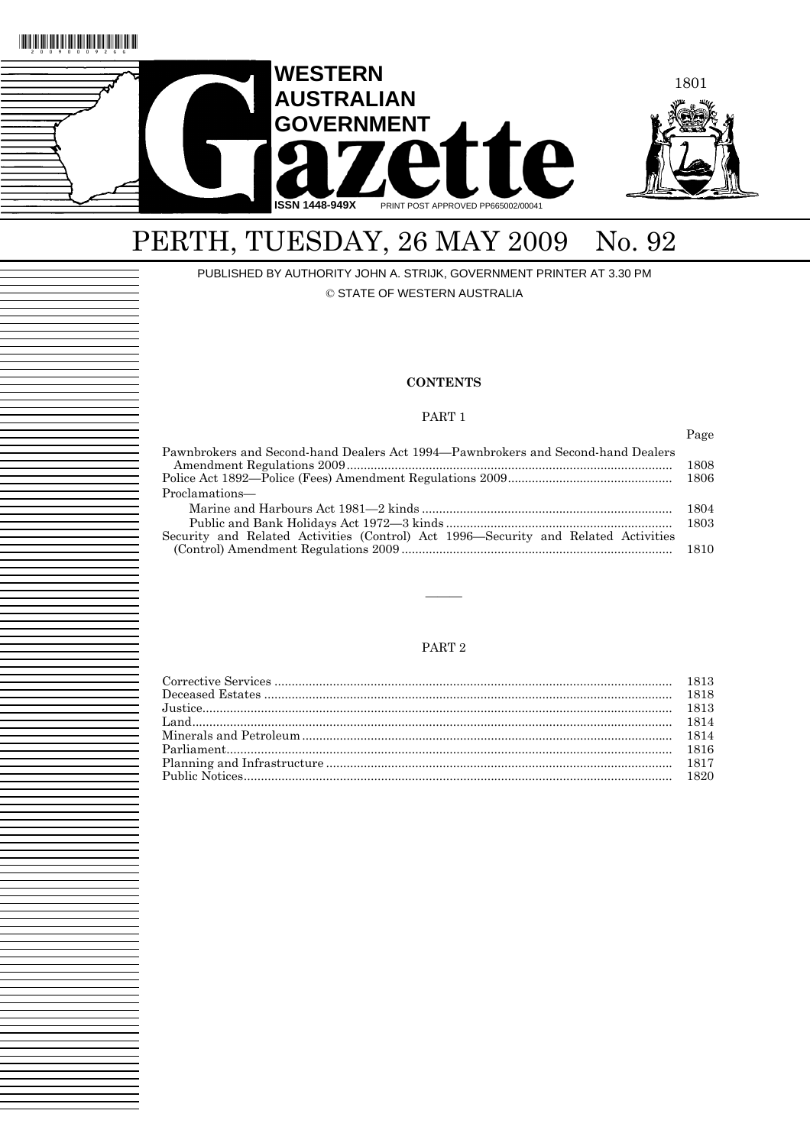

# PERTH, TUESDAY, 26 MAY 2009 No. 92

PUBLISHED BY AUTHORITY JOHN A. STRIJK, GOVERNMENT PRINTER AT 3.30 PM © STATE OF WESTERN AUSTRALIA

## **CONTENTS**

# PART 1

Page Pawnbrokers and Second-hand Dealers Act 1994—Pawnbrokers and Second-hand Dealers Amendment Regulations 2009............................................................................................... 1808 Police Act 1892—Police (Fees) Amendment Regulations 2009................................................ 1806 Proclamations— Marine and Harbours Act 1981—2 kinds ......................................................................... 1804 Public and Bank Holidays Act 1972—3 kinds .................................................................. 1803 Security and Related Activities (Control) Act 1996—Security and Related Activities (Control) Amendment Regulations 2009 ............................................................................... 1810

# PART 2

———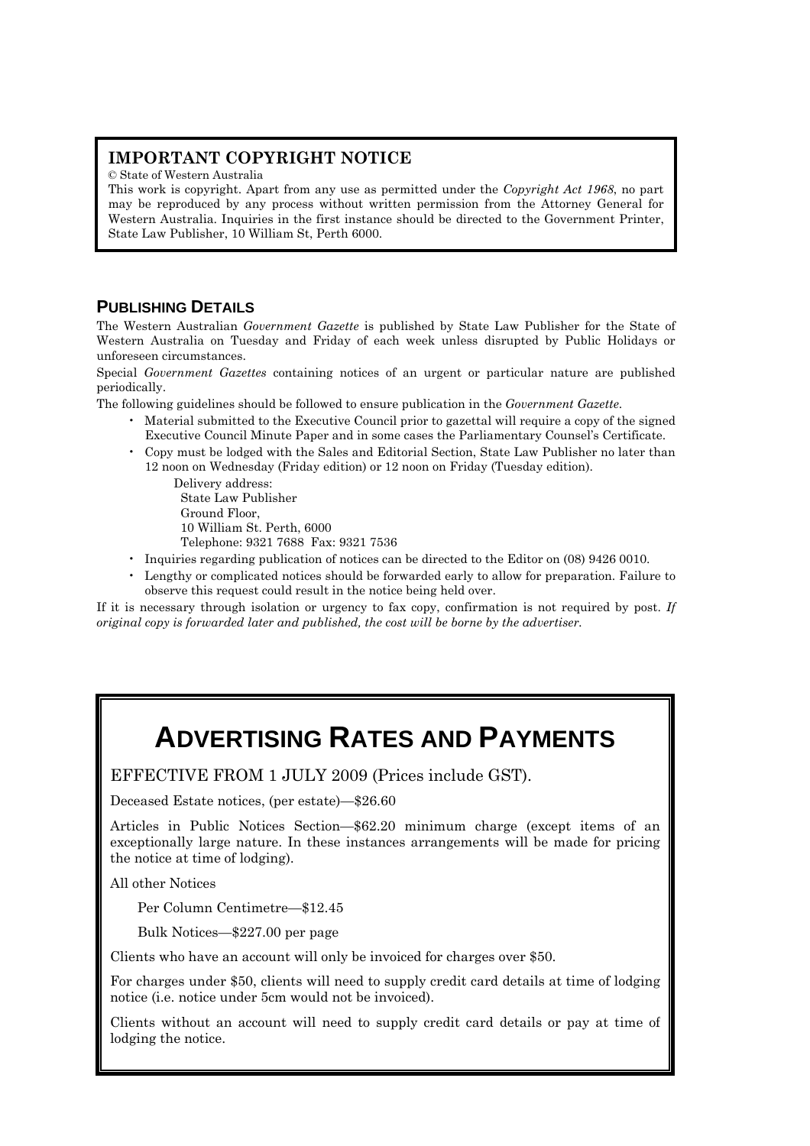# **IMPORTANT COPYRIGHT NOTICE**

© State of Western Australia

This work is copyright. Apart from any use as permitted under the *Copyright Act 1968*, no part may be reproduced by any process without written permission from the Attorney General for Western Australia. Inquiries in the first instance should be directed to the Government Printer, State Law Publisher, 10 William St, Perth 6000.

# **PUBLISHING DETAILS**

The Western Australian *Government Gazette* is published by State Law Publisher for the State of Western Australia on Tuesday and Friday of each week unless disrupted by Public Holidays or unforeseen circumstances.

Special *Government Gazettes* containing notices of an urgent or particular nature are published periodically.

The following guidelines should be followed to ensure publication in the *Government Gazette*.

- Material submitted to the Executive Council prior to gazettal will require a copy of the signed Executive Council Minute Paper and in some cases the Parliamentary Counsel's Certificate.
- Copy must be lodged with the Sales and Editorial Section, State Law Publisher no later than 12 noon on Wednesday (Friday edition) or 12 noon on Friday (Tuesday edition).

Delivery address: State Law Publisher Ground Floor, 10 William St. Perth, 6000 Telephone: 9321 7688 Fax: 9321 7536

- Inquiries regarding publication of notices can be directed to the Editor on (08) 9426 0010.
- Lengthy or complicated notices should be forwarded early to allow for preparation. Failure to observe this request could result in the notice being held over.

If it is necessary through isolation or urgency to fax copy, confirmation is not required by post. *If original copy is forwarded later and published, the cost will be borne by the advertiser.* 

# **ADVERTISING RATES AND PAYMENTS**

EFFECTIVE FROM 1 JULY 2009 (Prices include GST).

Deceased Estate notices, (per estate)—\$26.60

Articles in Public Notices Section—\$62.20 minimum charge (except items of an exceptionally large nature. In these instances arrangements will be made for pricing the notice at time of lodging).

All other Notices

Per Column Centimetre—\$12.45

Bulk Notices—\$227.00 per page

Clients who have an account will only be invoiced for charges over \$50.

For charges under \$50, clients will need to supply credit card details at time of lodging notice (i.e. notice under 5cm would not be invoiced).

Clients without an account will need to supply credit card details or pay at time of lodging the notice.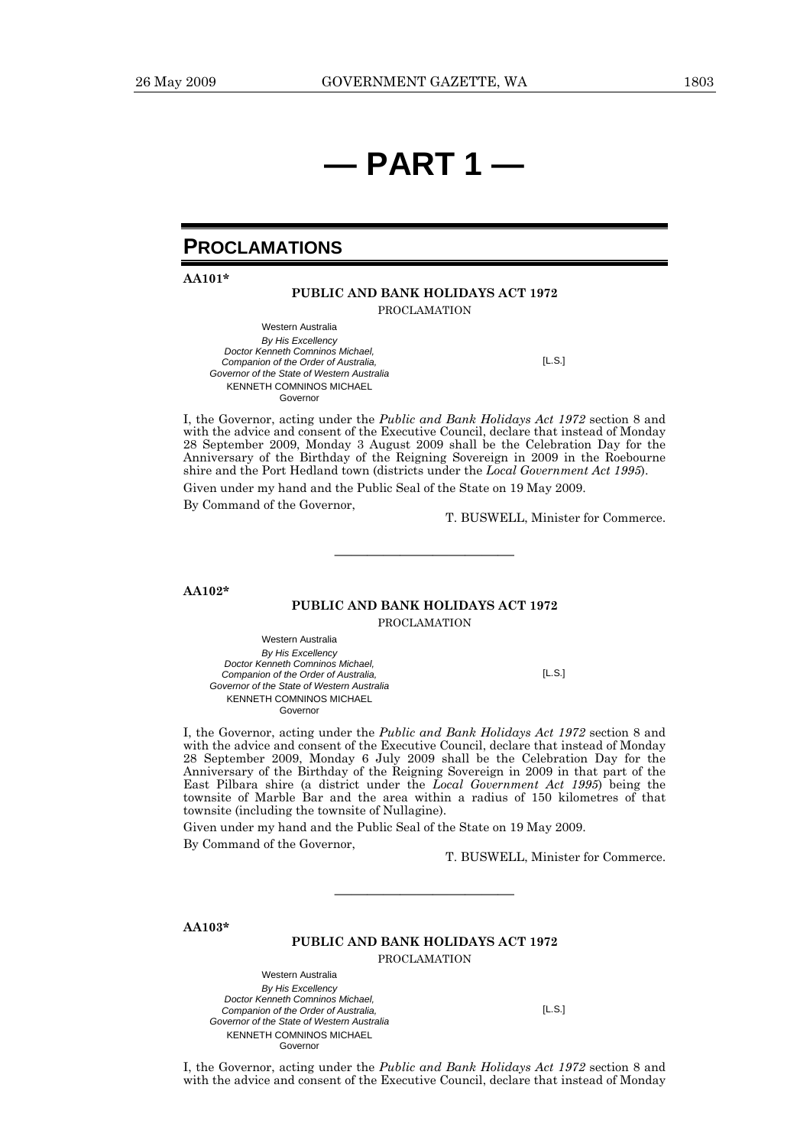# **— PART 1 —**

# **PROCLAMATIONS**

**AA101\*** 

### **PUBLIC AND BANK HOLIDAYS ACT 1972**  PROCLAMATION

Western Australia *By His Excellency Doctor Kenneth Comninos Michael, Companion of the Order of Australia, Governor of the State of Western Australia*  KENNETH COMNINOS MICHAEL Governor [L.S.]

I, the Governor, acting under the *Public and Bank Holidays Act 1972* section 8 and with the advice and consent of the Executive Council, declare that instead of Monday 28 September 2009, Monday 3 August 2009 shall be the Celebration Day for the Anniversary of the Birthday of the Reigning Sovereign in 2009 in the Roebourne shire and the Port Hedland town (districts under the *Local Government Act 1995*).

Given under my hand and the Public Seal of the State on 19 May 2009.

By Command of the Governor,

T. BUSWELL, Minister for Commerce.

**AA102\*** 

# **PUBLIC AND BANK HOLIDAYS ACT 1972**

———————————

PROCLAMATION

Western Australia *By His Excellency Doctor Kenneth Comninos Michael, Companion of the Order of Australia, Governor of the State of Western Australia*  KENNETH COMNINOS MICHAEL Governor

 $II.S.1$ 

I, the Governor, acting under the *Public and Bank Holidays Act 1972* section 8 and with the advice and consent of the Executive Council, declare that instead of Monday 28 September 2009, Monday 6 July 2009 shall be the Celebration Day for the Anniversary of the Birthday of the Reigning Sovereign in 2009 in that part of the East Pilbara shire (a district under the *Local Government Act 1995*) being the townsite of Marble Bar and the area within a radius of 150 kilometres of that townsite (including the townsite of Nullagine).

Given under my hand and the Public Seal of the State on 19 May 2009.

By Command of the Governor,

T. BUSWELL, Minister for Commerce.

**AA103\*** 

### **PUBLIC AND BANK HOLIDAYS ACT 1972**

———————————

PROCLAMATION

Western Australia *By His Excellency Doctor Kenneth Comninos Michael, Companion of the Order of Australia, Governor of the State of Western Australia*  KENNETH COMNINOS MICHAEL Governor

[L.S.]

I, the Governor, acting under the *Public and Bank Holidays Act 1972* section 8 and with the advice and consent of the Executive Council, declare that instead of Monday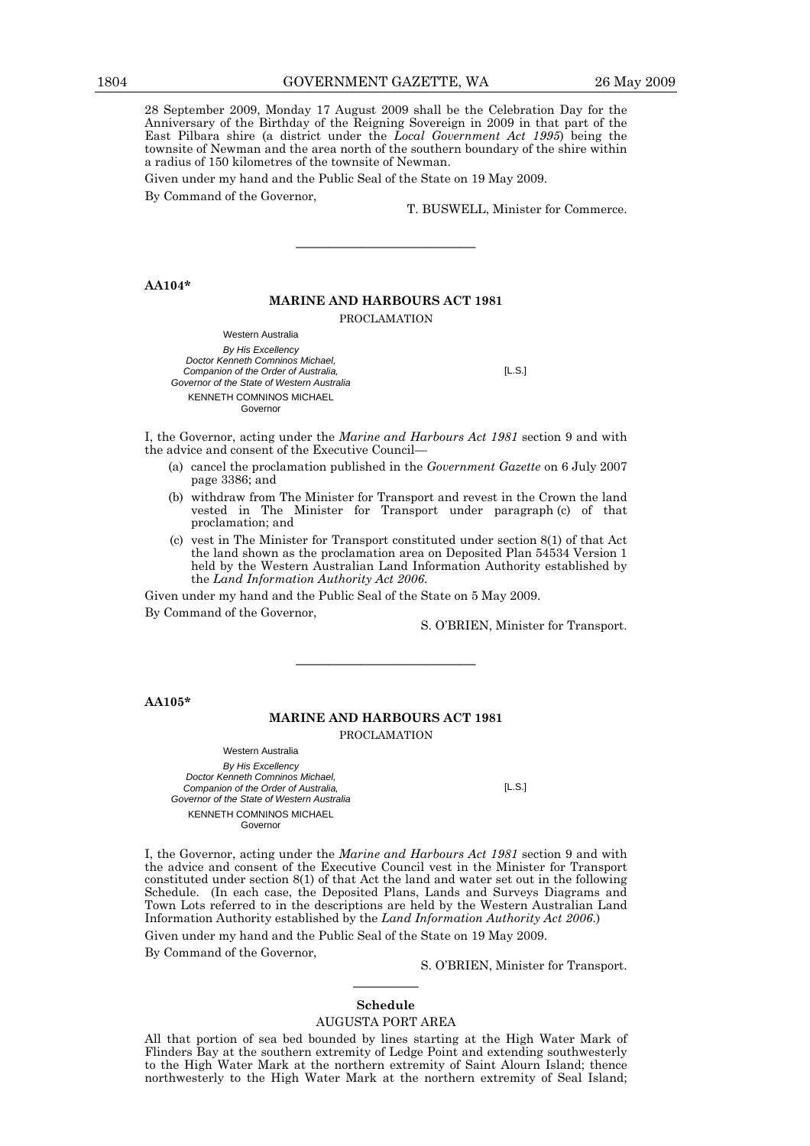28 September 2009, Monday 17 August 2009 shall be the Celebration Day for the Anniversary of the Birthday of the Reigning Sovereign in 2009 in that part of the East Pilbara shire (a district under the *Local Government Act 1995*) being the townsite of Newman and the area north of the southern boundary of the shire within a radius of 150 kilometres of the townsite of Newman.

Given under my hand and the Public Seal of the State on 19 May 2009.

By Command of the Governor,

T. BUSWELL, Minister for Commerce.

**AA104\*** 

### **MARINE AND HARBOURS ACT 1981**

———————————

PROCLAMATION

Western Australia *By His Excellency Doctor Kenneth Comninos Michael, Companion of the Order of Australia, Governor of the State of Western Australia*  KENNETH COMNINOS MICHAEL Governor

[L.S.]

I, the Governor, acting under the *Marine and Harbours Act 1981* section 9 and with the advice and consent of the Executive Council—

- (a) cancel the proclamation published in the *Government Gazette* on 6 July 2007 page 3386; and
- (b) withdraw from The Minister for Transport and revest in the Crown the land vested in The Minister for Transport under paragraph (c) of that proclamation; and
- (c) vest in The Minister for Transport constituted under section 8(1) of that Act the land shown as the proclamation area on Deposited Plan 54534 Version 1 held by the Western Australian Land Information Authority established by the *Land Information Authority Act 2006*.

Given under my hand and the Public Seal of the State on 5 May 2009.

By Command of the Governor,

S. O'BRIEN, Minister for Transport.

**AA105\*** 

### **MARINE AND HARBOURS ACT 1981**  PROCLAMATION

———————————

Western Australia *By His Excellency Doctor Kenneth Comninos Michael, Companion of the Order of Australia, Governor of the State of Western Australia*  KENNETH COMNINOS MICHAEL Governor

 $IL.S.$ ]

I, the Governor, acting under the *Marine and Harbours Act 1981* section 9 and with the advice and consent of the Executive Council vest in the Minister for Transport constituted under section 8(1) of that Act the land and water set out in the following Schedule. (In each case, the Deposited Plans, Lands and Surveys Diagrams and Town Lots referred to in the descriptions are held by the Western Australian Land Information Authority established by the *Land Information Authority Act 2006*.)

Given under my hand and the Public Seal of the State on 19 May 2009.

By Command of the Governor,

S. O'BRIEN, Minister for Transport.

# ———— **Schedule**

### AUGUSTA PORT AREA

All that portion of sea bed bounded by lines starting at the High Water Mark of Flinders Bay at the southern extremity of Ledge Point and extending southwesterly to the High Water Mark at the northern extremity of Saint Alourn Island; thence northwesterly to the High Water Mark at the northern extremity of Seal Island;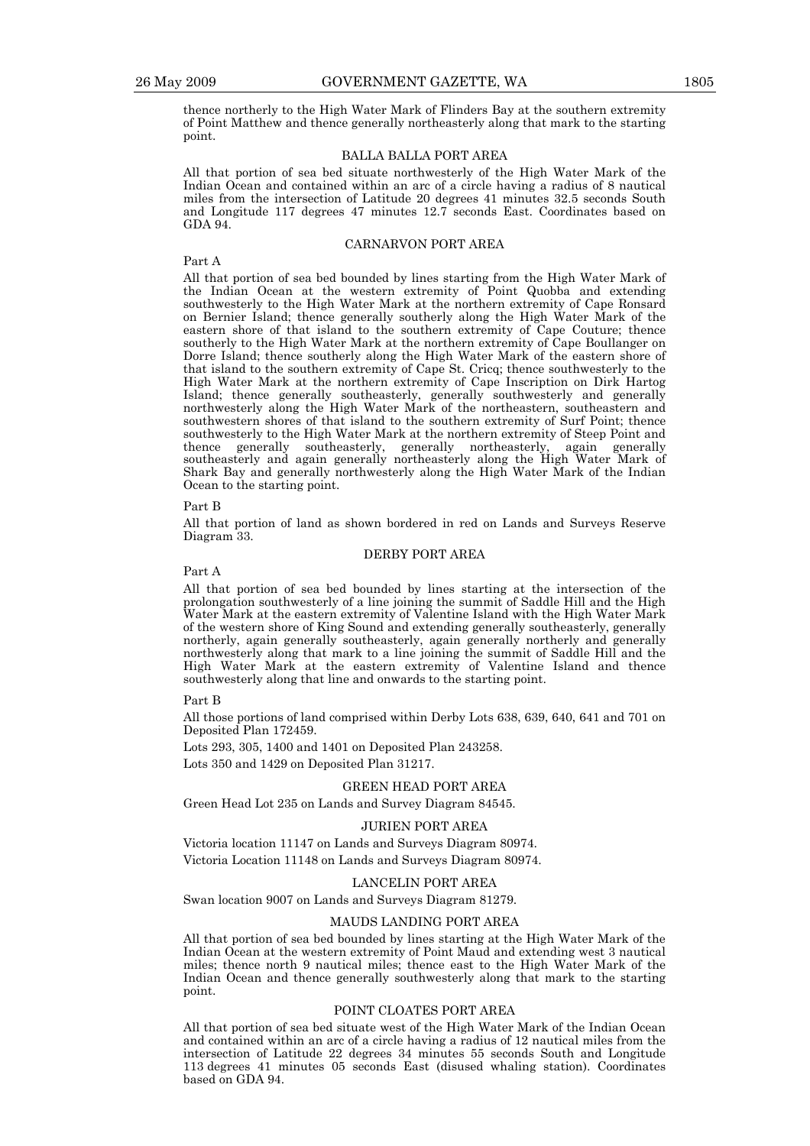thence northerly to the High Water Mark of Flinders Bay at the southern extremity of Point Matthew and thence generally northeasterly along that mark to the starting point.

### BALLA BALLA PORT AREA

All that portion of sea bed situate northwesterly of the High Water Mark of the Indian Ocean and contained within an arc of a circle having a radius of 8 nautical miles from the intersection of Latitude 20 degrees 41 minutes 32.5 seconds South and Longitude 117 degrees 47 minutes 12.7 seconds East. Coordinates based on GDA 94.

### CARNARVON PORT AREA

# Part A

All that portion of sea bed bounded by lines starting from the High Water Mark of the Indian Ocean at the western extremity of Point Quobba and extending southwesterly to the High Water Mark at the northern extremity of Cape Ronsard on Bernier Island; thence generally southerly along the High Water Mark of the eastern shore of that island to the southern extremity of Cape Couture; thence southerly to the High Water Mark at the northern extremity of Cape Boullanger on Dorre Island; thence southerly along the High Water Mark of the eastern shore of that island to the southern extremity of Cape St. Cricq; thence southwesterly to the High Water Mark at the northern extremity of Cape Inscription on Dirk Hartog Island; thence generally southeasterly, generally southwesterly and generally northwesterly along the High Water Mark of the northeastern, southeastern and southwestern shores of that island to the southern extremity of Surf Point; thence southwesterly to the High Water Mark at the northern extremity of Steep Point and thence generally southeasterly, generally northeasterly, again generally southeasterly and again generally northeasterly along the High Water Mark of Shark Bay and generally northwesterly along the High Water Mark of the Indian Ocean to the starting point.

### Part B

All that portion of land as shown bordered in red on Lands and Surveys Reserve Diagram 33.

### DERBY PORT AREA

Part A

All that portion of sea bed bounded by lines starting at the intersection of the prolongation southwesterly of a line joining the summit of Saddle Hill and the High Water Mark at the eastern extremity of Valentine Island with the High Water Mark of the western shore of King Sound and extending generally southeasterly, generally northerly, again generally southeasterly, again generally northerly and generally northwesterly along that mark to a line joining the summit of Saddle Hill and the High Water Mark at the eastern extremity of Valentine Island and thence southwesterly along that line and onwards to the starting point.

Part B

All those portions of land comprised within Derby Lots 638, 639, 640, 641 and 701 on Deposited Plan 172459.

Lots 293, 305, 1400 and 1401 on Deposited Plan 243258.

Lots 350 and 1429 on Deposited Plan 31217.

### GREEN HEAD PORT AREA

Green Head Lot 235 on Lands and Survey Diagram 84545.

### JURIEN PORT AREA

Victoria location 11147 on Lands and Surveys Diagram 80974. Victoria Location 11148 on Lands and Surveys Diagram 80974.

### LANCELIN PORT AREA

Swan location 9007 on Lands and Surveys Diagram 81279.

### MAUDS LANDING PORT AREA

All that portion of sea bed bounded by lines starting at the High Water Mark of the Indian Ocean at the western extremity of Point Maud and extending west 3 nautical miles; thence north 9 nautical miles; thence east to the High Water Mark of the Indian Ocean and thence generally southwesterly along that mark to the starting point.

### POINT CLOATES PORT AREA

All that portion of sea bed situate west of the High Water Mark of the Indian Ocean and contained within an arc of a circle having a radius of 12 nautical miles from the intersection of Latitude 22 degrees 34 minutes 55 seconds South and Longitude 113 degrees 41 minutes 05 seconds East (disused whaling station). Coordinates based on GDA 94.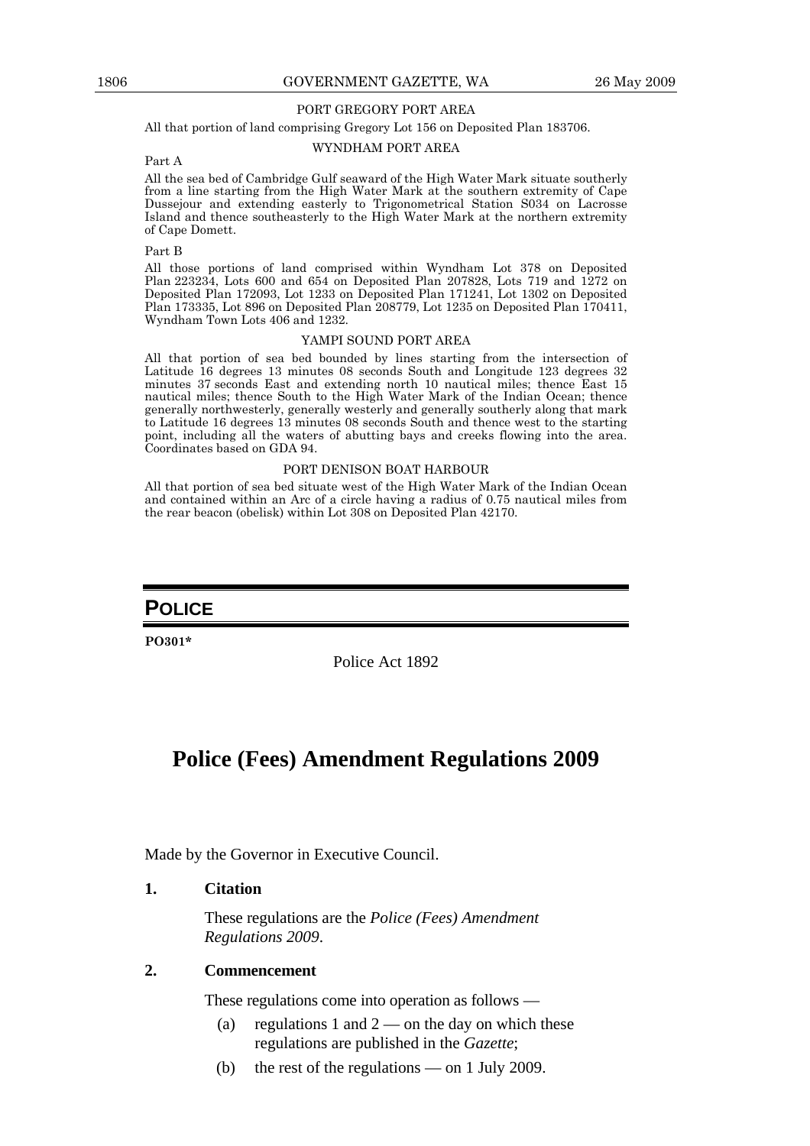## PORT GREGORY PORT AREA

All that portion of land comprising Gregory Lot 156 on Deposited Plan 183706.

## WYNDHAM PORT AREA

# Part A

All the sea bed of Cambridge Gulf seaward of the High Water Mark situate southerly from a line starting from the High Water Mark at the southern extremity of Cape Dussejour and extending easterly to Trigonometrical Station S034 on Lacrosse Island and thence southeasterly to the High Water Mark at the northern extremity of Cape Domett.

### Part B

All those portions of land comprised within Wyndham Lot 378 on Deposited Plan 223234, Lots 600 and 654 on Deposited Plan 207828, Lots 719 and 1272 on Deposited Plan 172093, Lot 1233 on Deposited Plan 171241, Lot 1302 on Deposited Plan 173335, Lot 896 on Deposited Plan 208779, Lot 1235 on Deposited Plan 170411, Wyndham Town Lots 406 and 1232.

### YAMPI SOUND PORT AREA

All that portion of sea bed bounded by lines starting from the intersection of Latitude 16 degrees 13 minutes 08 seconds South and Longitude 123 degrees 32 minutes 37 seconds East and extending north 10 nautical miles; thence East 15 nautical miles; thence South to the High Water Mark of the Indian Ocean; thence generally northwesterly, generally westerly and generally southerly along that mark to Latitude 16 degrees 13 minutes 08 seconds South and thence west to the starting point, including all the waters of abutting bays and creeks flowing into the area. Coordinates based on GDA 94.

### PORT DENISON BOAT HARBOUR

All that portion of sea bed situate west of the High Water Mark of the Indian Ocean and contained within an Arc of a circle having a radius of 0.75 nautical miles from the rear beacon (obelisk) within Lot 308 on Deposited Plan 42170.

# **POLICE**

**PO301\*** 

Police Act 1892

# **Police (Fees) Amendment Regulations 2009**

Made by the Governor in Executive Council.

# **1. Citation**

 These regulations are the *Police (Fees) Amendment Regulations 2009*.

# **2. Commencement**

These regulations come into operation as follows —

- (a) regulations 1 and  $2$  on the day on which these regulations are published in the *Gazette*;
- (b) the rest of the regulations on 1 July 2009.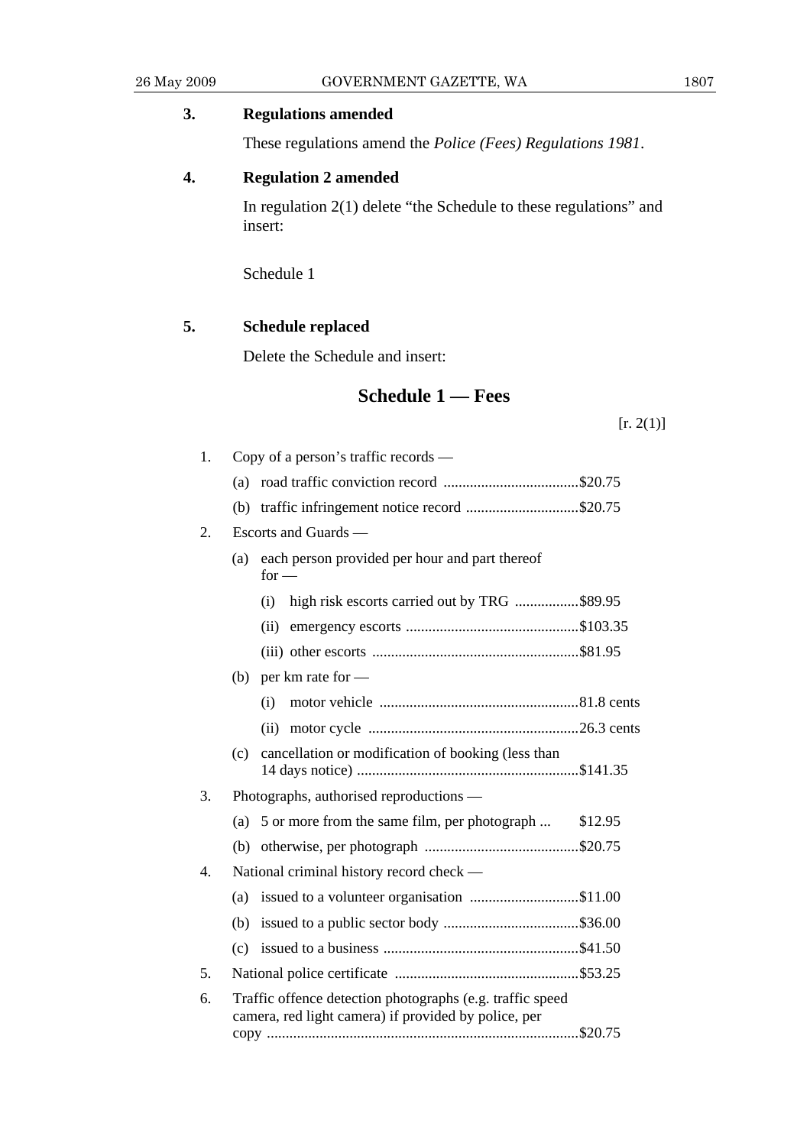# **3. Regulations amended**

These regulations amend the *Police (Fees) Regulations 1981*.

# **4. Regulation 2 amended**

 In regulation 2(1) delete "the Schedule to these regulations" and insert:

Schedule 1

# **5. Schedule replaced**

Delete the Schedule and insert:

# **Schedule 1 — Fees**

 $[r. 2(1)]$ 

| 1. | Copy of a person's traffic records — |                                                                                                                   |         |  |  |  |
|----|--------------------------------------|-------------------------------------------------------------------------------------------------------------------|---------|--|--|--|
|    | (a)                                  |                                                                                                                   |         |  |  |  |
|    | (b)                                  | traffic infringement notice record \$20.75                                                                        |         |  |  |  |
| 2. |                                      | Escorts and Guards —                                                                                              |         |  |  |  |
|    | (a)                                  | each person provided per hour and part thereof<br>$for -$                                                         |         |  |  |  |
|    |                                      | high risk escorts carried out by TRG \$89.95<br>(i)                                                               |         |  |  |  |
|    |                                      | (ii)                                                                                                              |         |  |  |  |
|    |                                      |                                                                                                                   |         |  |  |  |
|    |                                      | (b) per km rate for $-$                                                                                           |         |  |  |  |
|    |                                      | (i)                                                                                                               |         |  |  |  |
|    |                                      | (ii)                                                                                                              |         |  |  |  |
|    | (c)                                  | cancellation or modification of booking (less than                                                                |         |  |  |  |
| 3. |                                      | Photographs, authorised reproductions —                                                                           |         |  |  |  |
|    | (a)                                  | 5 or more from the same film, per photograph                                                                      | \$12.95 |  |  |  |
|    | (b)                                  |                                                                                                                   |         |  |  |  |
| 4. |                                      | National criminal history record check —                                                                          |         |  |  |  |
|    | (a)                                  | issued to a volunteer organisation \$11.00                                                                        |         |  |  |  |
|    |                                      |                                                                                                                   |         |  |  |  |
|    | (c)                                  |                                                                                                                   |         |  |  |  |
| 5. |                                      |                                                                                                                   |         |  |  |  |
| 6. |                                      | Traffic offence detection photographs (e.g. traffic speed<br>camera, red light camera) if provided by police, per |         |  |  |  |
|    |                                      |                                                                                                                   |         |  |  |  |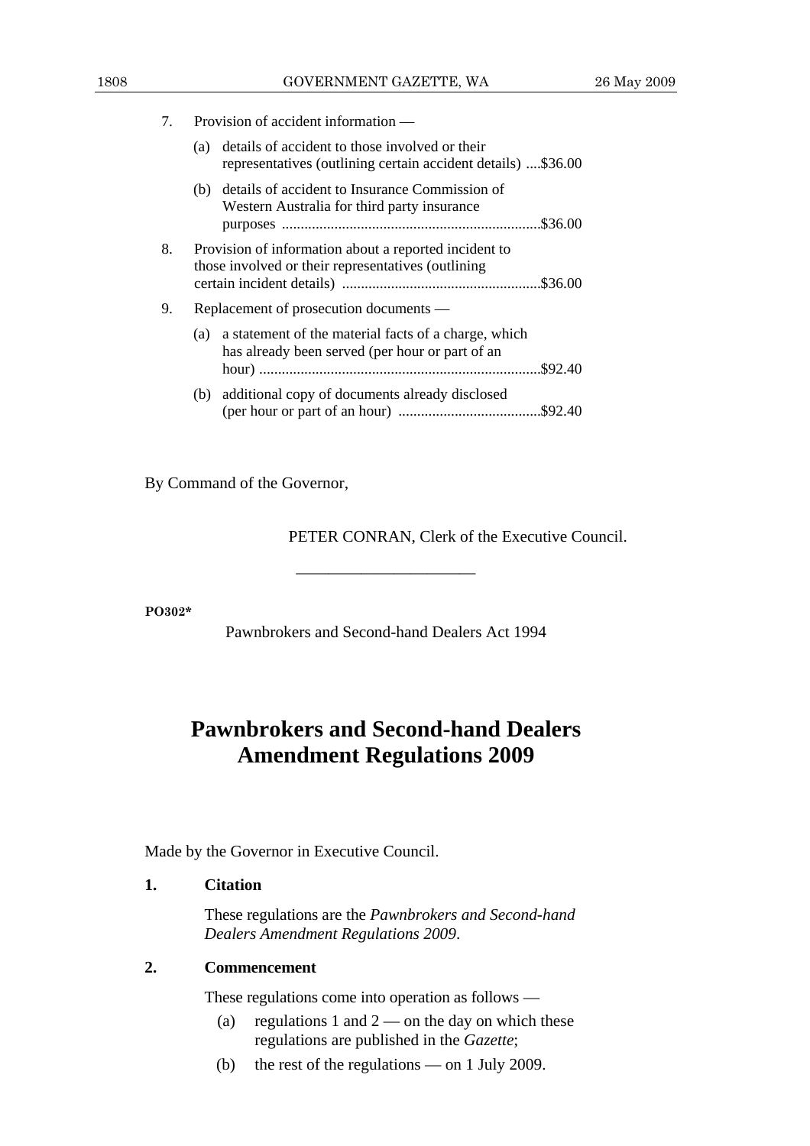7. Provision of accident information —

| (a) details of accident to those involved or their           |  |
|--------------------------------------------------------------|--|
| representatives (outlining certain accident details) \$36.00 |  |

- (b) details of accident to Insurance Commission of Western Australia for third party insurance purposes .....................................................................\$36.00 8. Provision of information about a reported incident to those involved or their representatives (outlining certain incident details) .....................................................\$36.00 9. Replacement of prosecution documents — (a) a statement of the material facts of a charge, which has already been served (per hour or part of an hour) ........................................................................... \$92.40
	- (b) additional copy of documents already disclosed (per hour or part of an hour) ...................................... \$92.40

By Command of the Governor,

PETER CONRAN, Clerk of the Executive Council.

**PO302\*** 

Pawnbrokers and Second-hand Dealers Act 1994

———————————

# **Pawnbrokers and Second-hand Dealers Amendment Regulations 2009**

Made by the Governor in Executive Council.

# **1. Citation**

 These regulations are the *Pawnbrokers and Second-hand Dealers Amendment Regulations 2009*.

# **2. Commencement**

These regulations come into operation as follows —

- (a) regulations 1 and  $2$  on the day on which these regulations are published in the *Gazette*;
- (b) the rest of the regulations on 1 July 2009.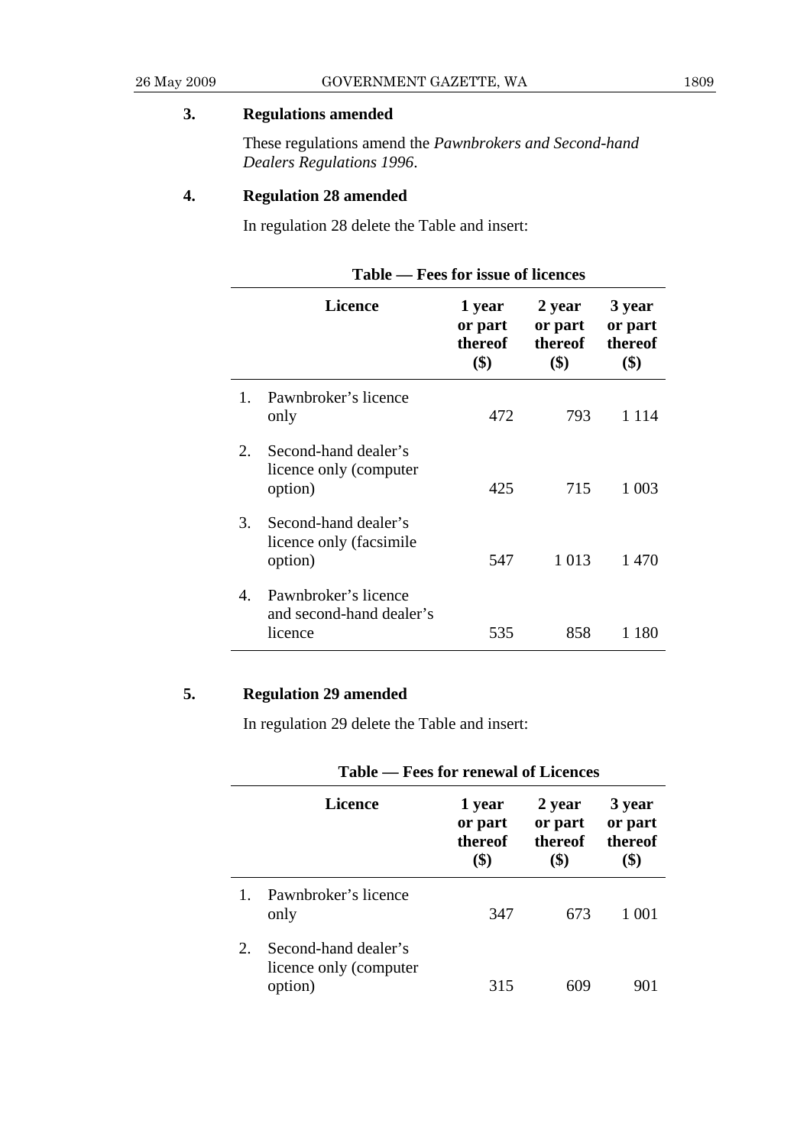# **3. Regulations amended**

 These regulations amend the *Pawnbrokers and Second-hand Dealers Regulations 1996*.

# **4. Regulation 28 amended**

In regulation 28 delete the Table and insert:

|                      | Table — Fees for issue of licences                          |                                     |                                     |                                     |  |  |
|----------------------|-------------------------------------------------------------|-------------------------------------|-------------------------------------|-------------------------------------|--|--|
|                      | Licence                                                     | 1 year<br>or part<br>thereof<br>\$) | 2 year<br>or part<br>thereof<br>\$) | 3 year<br>or part<br>thereof<br>\$) |  |  |
| 1.                   | Pawnbroker's licence<br>only                                | 472                                 | 793                                 | 1 1 1 4                             |  |  |
| 2.                   | Second-hand dealer's<br>licence only (computer<br>option)   | 425                                 | 715                                 | 1 0 0 3                             |  |  |
| 3.                   | Second-hand dealer's<br>licence only (facsimile<br>option)  | 547                                 | 1 0 1 3                             | 1470                                |  |  |
| $\mathbf{4}_{\cdot}$ | Pawnbroker's licence<br>and second-hand dealer's<br>licence | 535                                 | 858                                 | 1 180                               |  |  |

# **5. Regulation 29 amended**

In regulation 29 delete the Table and insert:

|    | Table — Fees for renewal of Licences                      |                                     |                                     |                                     |  |  |  |
|----|-----------------------------------------------------------|-------------------------------------|-------------------------------------|-------------------------------------|--|--|--|
|    | Licence                                                   | 1 year<br>or part<br>thereof<br>\$) | 2 year<br>or part<br>thereof<br>\$) | 3 year<br>or part<br>thereof<br>\$) |  |  |  |
|    | Pawnbroker's licence<br>only                              | 347                                 | 673                                 | 1 001                               |  |  |  |
| 2. | Second-hand dealer's<br>licence only (computer<br>option) | 315                                 |                                     |                                     |  |  |  |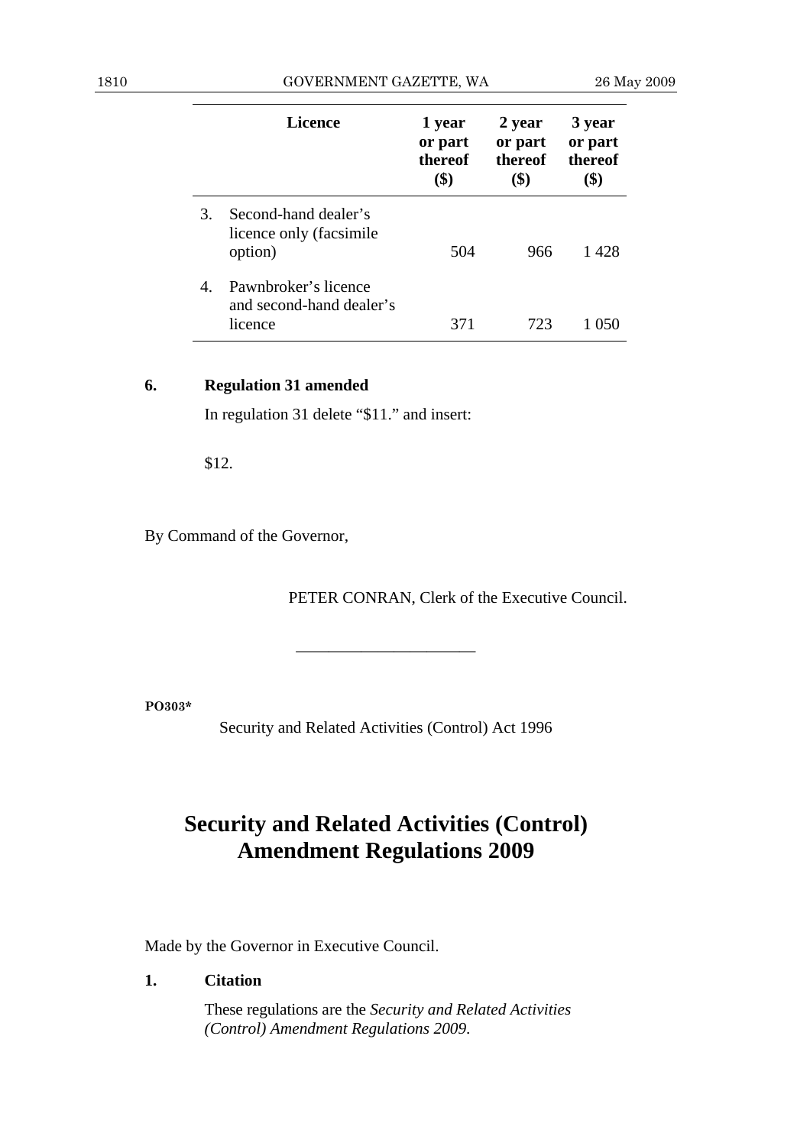|    | Licence                                                     | 1 year<br>or part<br>thereof<br>\$) | 2 year<br>or part<br>thereof<br>\$) | 3 year<br>or part<br>thereof<br>\$) |
|----|-------------------------------------------------------------|-------------------------------------|-------------------------------------|-------------------------------------|
| 3. | Second-hand dealer's<br>licence only (facsimile<br>option)  | 504                                 | 966                                 | 1 428                               |
| 4. | Pawnbroker's licence<br>and second-hand dealer's<br>licence | 371                                 | 723                                 |                                     |

# **6. Regulation 31 amended**

In regulation 31 delete "\$11." and insert:

\$12.

By Command of the Governor,

PETER CONRAN, Clerk of the Executive Council.

**PO303\*** 

Security and Related Activities (Control) Act 1996

———————————

# **Security and Related Activities (Control) Amendment Regulations 2009**

Made by the Governor in Executive Council.

# **1. Citation**

 These regulations are the *Security and Related Activities (Control) Amendment Regulations 2009*.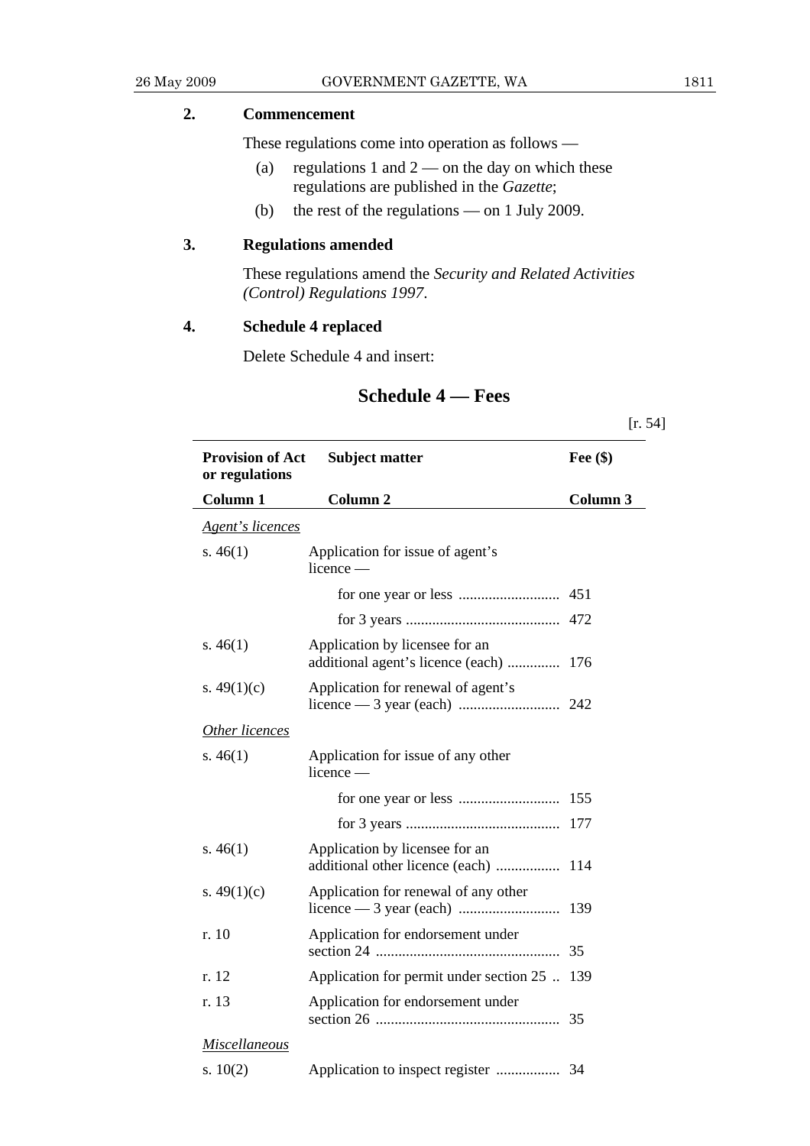# **2. Commencement**

These regulations come into operation as follows —

- (a) regulations 1 and  $2$  on the day on which these regulations are published in the *Gazette*;
- (b) the rest of the regulations on 1 July 2009.

# **3. Regulations amended**

 These regulations amend the *Security and Related Activities (Control) Regulations 1997*.

# **4. Schedule 4 replaced**

Delete Schedule 4 and insert:

# **Schedule 4 — Fees**

[r. 54] **Provision of Act or regulations Column 1 Subject matter Column 2 Fee (\$) Column 3**  *Agent's licences* s. 46(1) Application for issue of agent's licence for one year or less ........................... 451 for 3 years ......................................... 472 s. 46(1) Application by licensee for an additional agent's licence (each) .............. 176 s.  $49(1)(c)$  Application for renewal of agent's licence — 3 year (each) ........................... 242 *Other licences* s. 46(1) Application for issue of any other licence for one year or less ........................... 155 for 3 years ......................................... 177 s. 46(1) Application by licensee for an additional other licence (each) ................. 114 s.  $49(1)(c)$  Application for renewal of any other licence — 3 year (each) ........................... 139 r. 10 Application for endorsement under section 24 ................................................. 35 r. 12 Application for permit under section 25 .. 139 r. 13 Application for endorsement under section 26 ................................................. 35 *Miscellaneous*

| s. $10(2)$ |  |
|------------|--|
|            |  |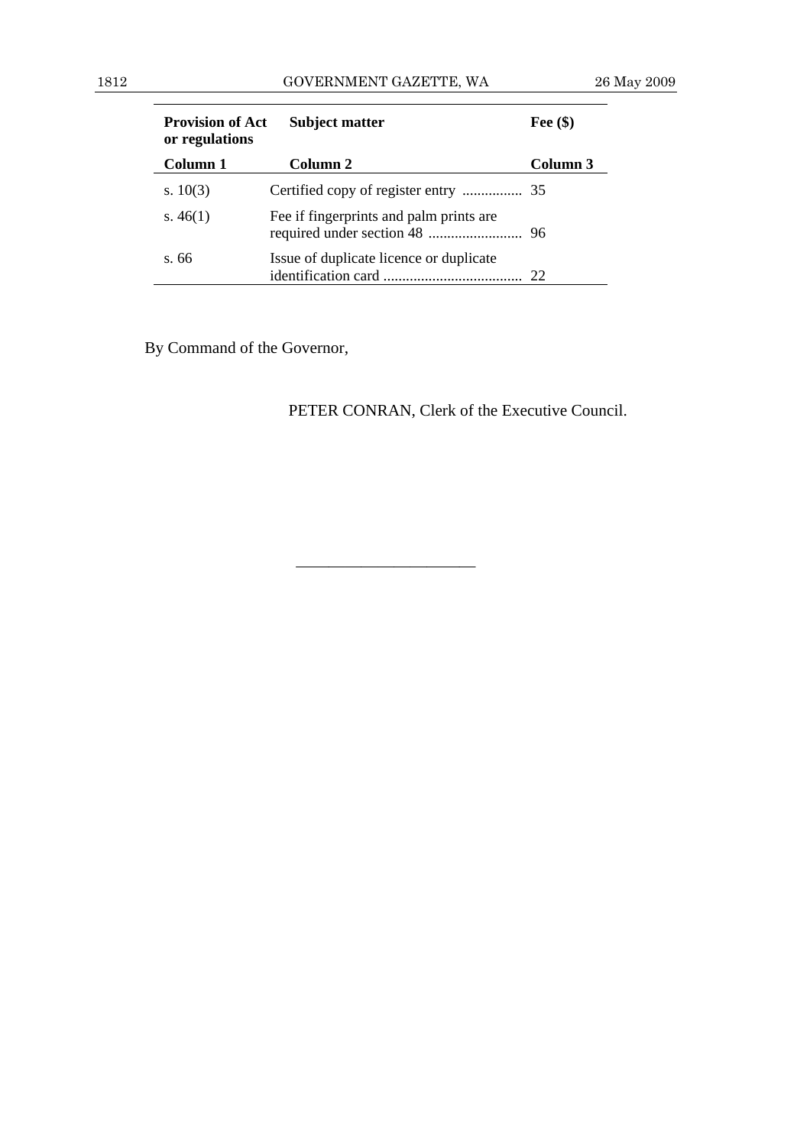| <b>Provision of Act</b><br>or regulations | <b>Subject matter</b>                   | Fee $(\$)$ |
|-------------------------------------------|-----------------------------------------|------------|
| Column 1                                  | Column 2                                | Column 3   |
| s. $10(3)$                                |                                         |            |
| s. $46(1)$                                | Fee if fingerprints and palm prints are |            |
| s. 66                                     | Issue of duplicate licence or duplicate |            |

———————————

By Command of the Governor,

PETER CONRAN, Clerk of the Executive Council.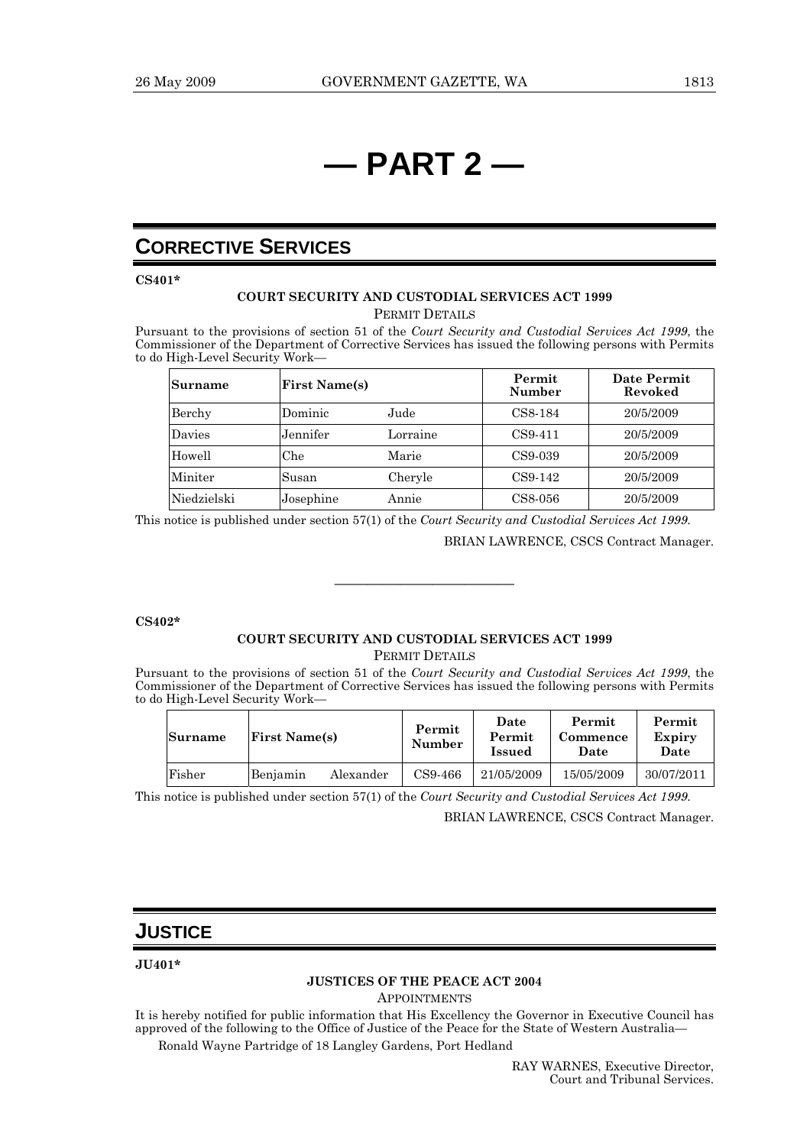# **— PART 2 —**

# **CORRECTIVE SERVICES**

**CS401\*** 

### **COURT SECURITY AND CUSTODIAL SERVICES ACT 1999**  PERMIT DETAILS

Pursuant to the provisions of section 51 of the *Court Security and Custodial Services Act 1999*, the Commissioner of the Department of Corrective Services has issued the following persons with Permits to do High-Level Security Work—

| Surname     |           | <b>First Name(s)</b> |           | Date Permit<br>Revoked |
|-------------|-----------|----------------------|-----------|------------------------|
| Berchy      | Dominic   | Jude                 | CS8-184   | 20/5/2009              |
| Davies      | Jennifer  | Lorraine             | $CS9-411$ | 20/5/2009              |
| Howell      | Che       | Marie                | CS9-039   | 20/5/2009              |
| Miniter     | Susan     | Cheryle              | CS9-142   | 20/5/2009              |
| Niedzielski | Josephine | Annie                | CS8-056   | 20/5/2009              |

This notice is published under section 57(1) of the *Court Security and Custodial Services Act 1999*.

BRIAN LAWRENCE, CSCS Contract Manager.

### **CS402\***

### **COURT SECURITY AND CUSTODIAL SERVICES ACT 1999**  PERMIT DETAILS

———————————

Pursuant to the provisions of section 51 of the *Court Security and Custodial Services Act 1999*, the Commissioner of the Department of Corrective Services has issued the following persons with Permits to do High-Level Security Work—

| Surname | <b>First Name(s)</b> |           | Permit<br>Number | Date<br>Permit<br>Issued | Permit<br>Commence<br>Date | Permit<br>Expiry<br>Date |
|---------|----------------------|-----------|------------------|--------------------------|----------------------------|--------------------------|
| Fisher  | Benjamin             | Alexander | CS9-466          | 21/05/2009               | 15/05/2009                 | 30/07/2011               |

This notice is published under section 57(1) of the *Court Security and Custodial Services Act 1999*.

BRIAN LAWRENCE, CSCS Contract Manager.

# **JUSTICE**

**JU401\*** 

# **JUSTICES OF THE PEACE ACT 2004**

**APPOINTMENTS** 

It is hereby notified for public information that His Excellency the Governor in Executive Council has approved of the following to the Office of Justice of the Peace for the State of Western Australia—

Ronald Wayne Partridge of 18 Langley Gardens, Port Hedland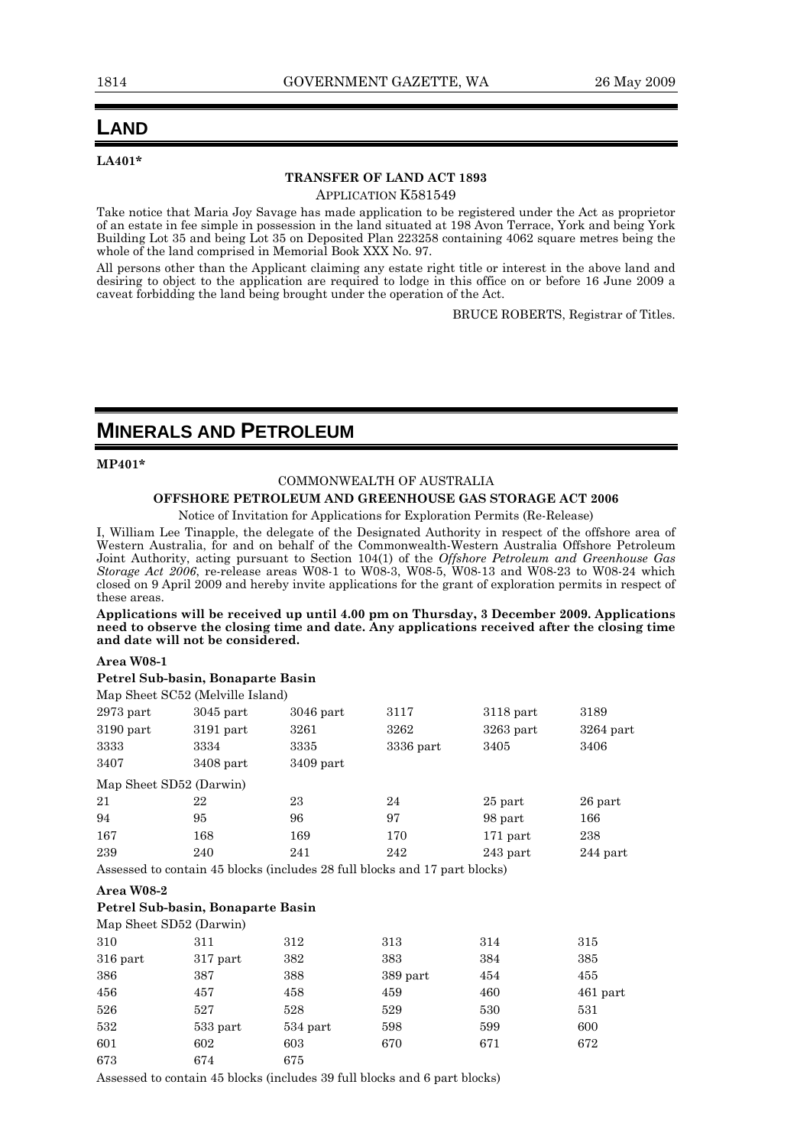# **LAND**

**LA401\*** 

### **TRANSFER OF LAND ACT 1893**  APPLICATION K581549

Take notice that Maria Joy Savage has made application to be registered under the Act as proprietor of an estate in fee simple in possession in the land situated at 198 Avon Terrace, York and being York Building Lot 35 and being Lot 35 on Deposited Plan 223258 containing 4062 square metres being the whole of the land comprised in Memorial Book XXX No. 97.

All persons other than the Applicant claiming any estate right title or interest in the above land and desiring to object to the application are required to lodge in this office on or before 16 June 2009 a caveat forbidding the land being brought under the operation of the Act.

BRUCE ROBERTS, Registrar of Titles.

# **MINERALS AND PETROLEUM**

## **MP401\***

### COMMONWEALTH OF AUSTRALIA

# **OFFSHORE PETROLEUM AND GREENHOUSE GAS STORAGE ACT 2006**

Notice of Invitation for Applications for Exploration Permits (Re-Release)

I, William Lee Tinapple, the delegate of the Designated Authority in respect of the offshore area of Western Australia, for and on behalf of the Commonwealth-Western Australia Offshore Petroleum Joint Authority, acting pursuant to Section 104(1) of the *Offshore Petroleum and Greenhouse Gas Storage Act 2006*, re-release areas W08-1 to W08-3, W08-5, W08-13 and W08-23 to W08-24 which closed on 9 April 2009 and hereby invite applications for the grant of exploration permits in respect of these areas.

**Applications will be received up until 4.00 pm on Thursday, 3 December 2009. Applications need to observe the closing time and date. Any applications received after the closing time and date will not be considered.** 

## **Area W08-1**

## **Petrel Sub-basin, Bonaparte Basin**

Map Sheet SC52 (Melville Island)

| $2973$ part             | $3045$ part | $3046$ part                                                                | 3117      | $3118$ part | 3189        |
|-------------------------|-------------|----------------------------------------------------------------------------|-----------|-------------|-------------|
| $3190$ part             | $3191$ part | 3261                                                                       | 3262      | $3263$ part | $3264$ part |
| 3333                    | 3334        | 3335                                                                       | 3336 part | 3405        | 3406        |
| 3407                    | $3408$ part | $3409$ part                                                                |           |             |             |
| Map Sheet SD52 (Darwin) |             |                                                                            |           |             |             |
| 21                      | 22          | 23                                                                         | 24        | 25 part     | 26 part     |
| 94                      | 95          | 96                                                                         | 97        | 98 part     | 166         |
| 167                     | 168         | 169                                                                        | 170       | $171$ part  | 238         |
| 239                     | 240         | 241                                                                        | 242       | $243$ part  | $244$ part  |
|                         |             | Assessed to contain 45 blocks (includes 28 full blocks and 17 part blocks) |           |             |             |

### **Area W08-2**

### **Petrel Sub-basin, Bonaparte Basin**

|            | Map Sheet SD52 (Darwin) |            |          |     |            |
|------------|-------------------------|------------|----------|-----|------------|
| 310        | 311                     | 312        | 313      | 314 | 315        |
| $316$ part | $317$ part              | 382        | 383      | 384 | 385        |
| 386        | 387                     | 388        | 389 part | 454 | 455        |
| 456        | 457                     | 458        | 459      | 460 | $461$ part |
| 526        | 527                     | 528        | 529      | 530 | 531        |
| 532        | $533$ part              | $534$ part | 598      | 599 | 600        |
| 601        | 602                     | 603        | 670      | 671 | 672        |
| 673        | 674                     | 675        |          |     |            |

Assessed to contain 45 blocks (includes 39 full blocks and 6 part blocks)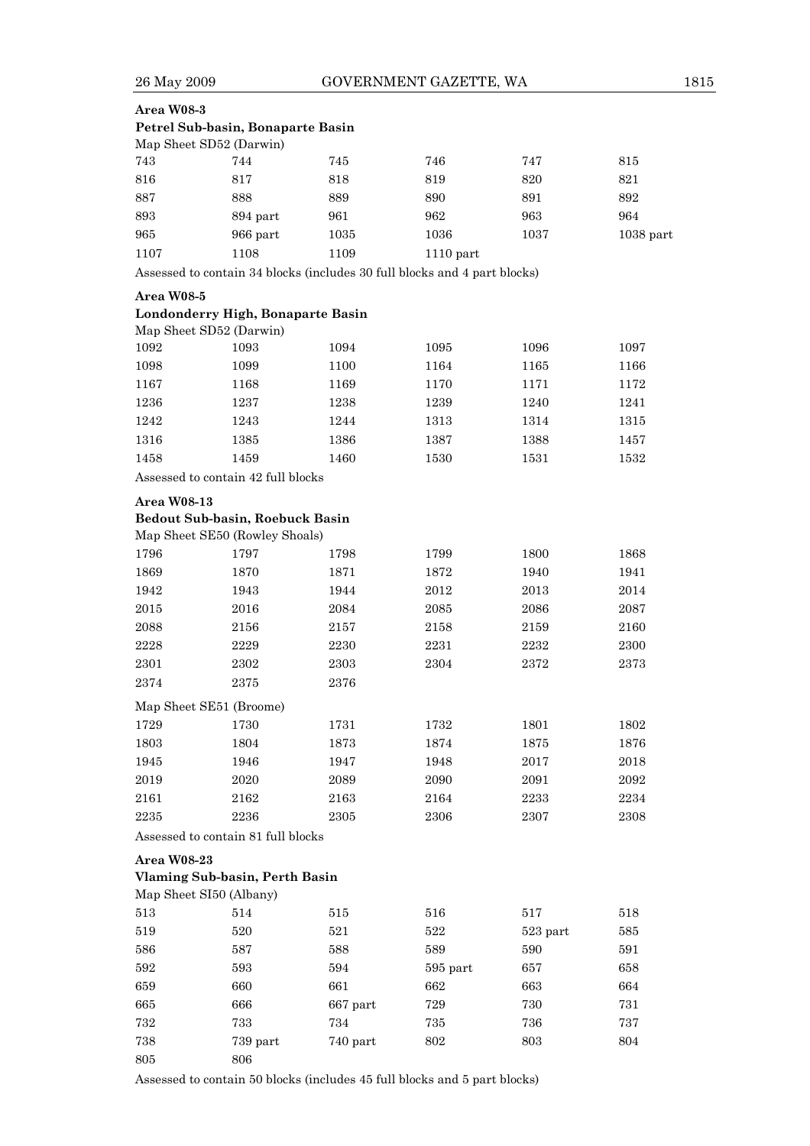26 May 2009 GOVERNMENT GAZETTE, WA 1815

| Area W08-3                      |                                                                           |          |                     |          |             |
|---------------------------------|---------------------------------------------------------------------------|----------|---------------------|----------|-------------|
|                                 | Petrel Sub-basin, Bonaparte Basin                                         |          |                     |          |             |
| Map Sheet SD52 (Darwin)         |                                                                           |          |                     |          |             |
| 743                             | 744                                                                       | 745      | 746                 | 747      | 815         |
| 816                             | 817                                                                       | 818      | 819                 | 820      | 821         |
| 887                             | 888                                                                       | 889      | 890                 | 891      | 892         |
| 893                             | 894 part                                                                  | 961      | 962                 | 963      | 964         |
| 965                             | 966 part                                                                  | 1035     | 1036                | 1037     | $1038$ part |
| 1107                            | 1108                                                                      | 1109     | $1110$ part         |          |             |
|                                 | Assessed to contain 34 blocks (includes 30 full blocks and 4 part blocks) |          |                     |          |             |
| Area W08-5                      |                                                                           |          |                     |          |             |
|                                 | Londonderry High, Bonaparte Basin                                         |          |                     |          |             |
| Map Sheet SD52 (Darwin)<br>1092 | 1093                                                                      | 1094     | 1095                |          |             |
|                                 |                                                                           |          |                     | 1096     | 1097        |
| 1098                            | 1099                                                                      | 1100     | 1164                | 1165     | 1166        |
| 1167                            | 1168                                                                      | 1169     | 1170                | 1171     | 1172        |
| 1236                            | 1237                                                                      | 1238     | 1239                | 1240     | 1241        |
| 1242                            | 1243                                                                      | 1244     | 1313                | 1314     | 1315        |
| 1316                            | 1385                                                                      | 1386     | 1387                | 1388     | 1457        |
| 1458                            | 1459                                                                      | 1460     | 1530                | 1531     | 1532        |
|                                 | Assessed to contain 42 full blocks                                        |          |                     |          |             |
| <b>Area W08-13</b>              |                                                                           |          |                     |          |             |
|                                 | Bedout Sub-basin, Roebuck Basin<br>Map Sheet SE50 (Rowley Shoals)         |          |                     |          |             |
| 1796                            | 1797                                                                      | 1798     | 1799                | 1800     | 1868        |
| 1869                            | 1870                                                                      | 1871     | 1872                | 1940     | 1941        |
| 1942                            | 1943                                                                      | 1944     | 2012                | 2013     | 2014        |
| $2015\,$                        | 2016                                                                      | 2084     | 2085                | 2086     | 2087        |
| 2088                            | 2156                                                                      | 2157     | 2158                | 2159     | 2160        |
| 2228                            | 2229                                                                      | 2230     | 2231                | 2232     | 2300        |
| 2301                            | 2302                                                                      | 2303     | 2304                | 2372     | 2373        |
| 2374                            | 2375                                                                      | 2376     |                     |          |             |
| Map Sheet SE51 (Broome)         |                                                                           |          |                     |          |             |
| 1729                            | 1730                                                                      | 1731     | 1732                | 1801     | 1802        |
| 1803                            | 1804                                                                      | 1873     | 1874                | 1875     | 1876        |
| 1945                            | 1946                                                                      | 1947     | 1948                | $2017\,$ | 2018        |
| $\,2019$                        | 2020                                                                      | 2089     | 2090                | 2091     | 2092        |
| 2161                            | 2162                                                                      | 2163     | 2164                | 2233     | 2234        |
| 2235                            | 2236                                                                      | 2305     | 2306                | 2307     | 2308        |
|                                 | Assessed to contain 81 full blocks                                        |          |                     |          |             |
| <b>Area W08-23</b>              |                                                                           |          |                     |          |             |
| Map Sheet SI50 (Albany)         | Vlaming Sub-basin, Perth Basin                                            |          |                     |          |             |
| 513                             | 514                                                                       | 515      | 516                 | 517      | 518         |
| 519                             | 520                                                                       | $521\,$  | 522                 | 523 part | 585         |
| 586                             | 587                                                                       | 588      | 589                 | 590      | 591         |
| 592                             | 593                                                                       | 594      | $595~\mathrm{part}$ | 657      | 658         |
| 659                             | 660                                                                       | 661      | 662                 | 663      | 664         |
| 665                             | 666                                                                       | 667 part | 729                 | 730      | 731         |
| 732                             | 733                                                                       | 734      | 735                 | 736      | 737         |
| 738                             | 739 part                                                                  | 740 part | 802                 | 803      | $804\,$     |
| 805                             | 806                                                                       |          |                     |          |             |

Assessed to contain 50 blocks (includes 45 full blocks and 5 part blocks)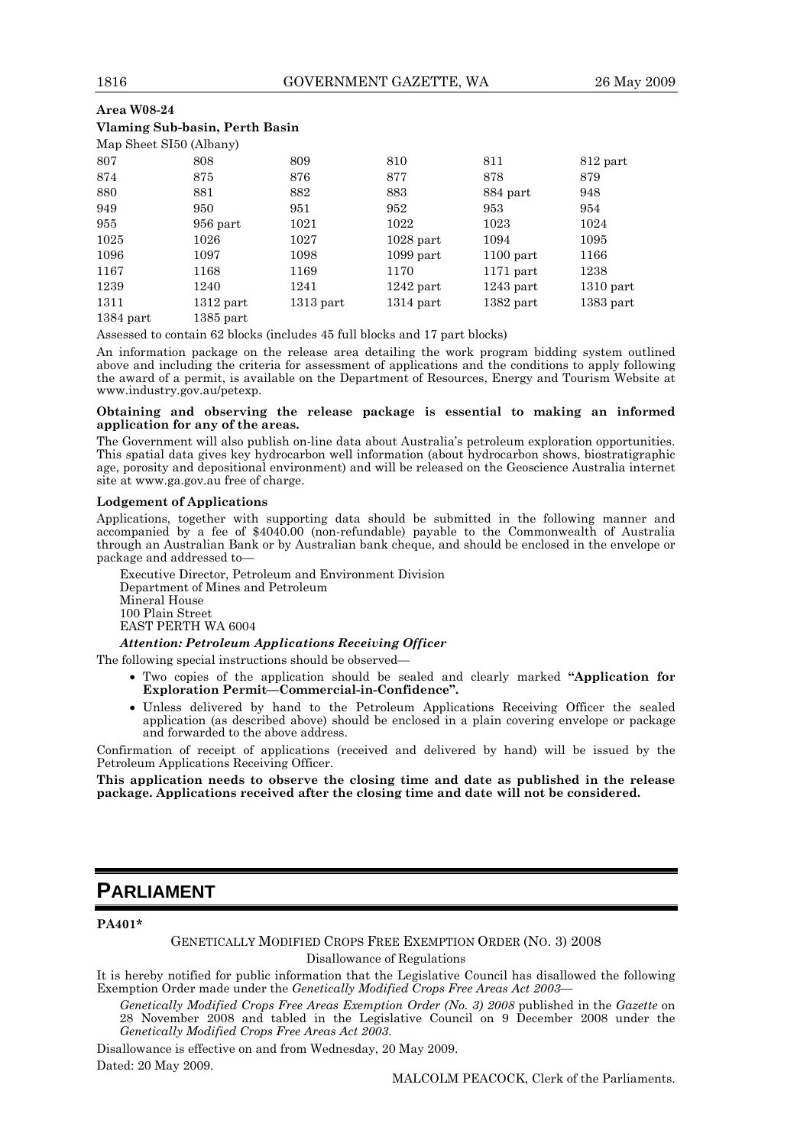# **Area W08-24 Vlaming Sub-basin, Perth Basin**

| Map Sheet SI50 (Albany) |             |             |             |             |             |
|-------------------------|-------------|-------------|-------------|-------------|-------------|
| 807                     | 808         | 809         | 810         | 811         | 812 part    |
| 874                     | 875         | 876         | 877         | 878         | 879         |
| 880                     | 881         | 882         | 883         | 884 part    | 948         |
| 949                     | 950         | 951         | 952         | 953         | 954         |
| 955                     | 956 part    | 1021        | 1022        | 1023        | 1024        |
| 1025                    | 1026        | 1027        | $1028$ part | 1094        | 1095        |
| 1096                    | 1097        | 1098        | $1099$ part | $1100$ part | 1166        |
| 1167                    | 1168        | 1169        | 1170        | $1171$ part | 1238        |
| 1239                    | 1240        | 1241        | $1242$ part | $1243$ part | $1310$ part |
| 1311                    | $1312$ part | $1313$ part | $1314$ part | $1382$ part | $1383$ part |
| $1384$ part             | $1385$ part |             |             |             |             |

Assessed to contain 62 blocks (includes 45 full blocks and 17 part blocks)

An information package on the release area detailing the work program bidding system outlined above and including the criteria for assessment of applications and the conditions to apply following the award of a permit, is available on the Department of Resources, Energy and Tourism Website at www.industry.gov.au/petexp.

### **Obtaining and observing the release package is essential to making an informed application for any of the areas.**

The Government will also publish on-line data about Australia's petroleum exploration opportunities. This spatial data gives key hydrocarbon well information (about hydrocarbon shows, biostratigraphic age, porosity and depositional environment) and will be released on the Geoscience Australia internet site at www.ga.gov.au free of charge.

### **Lodgement of Applications**

Applications, together with supporting data should be submitted in the following manner and accompanied by a fee of \$4040.00 (non-refundable) payable to the Commonwealth of Australia through an Australian Bank or by Australian bank cheque, and should be enclosed in the envelope or package and addressed to—

Executive Director, Petroleum and Environment Division Department of Mines and Petroleum Mineral House 100 Plain Street EAST PERTH WA 6004

*Attention: Petroleum Applications Receiving Officer* 

The following special instructions should be observed-

- Two copies of the application should be sealed and clearly marked **"Application for Exploration Permit—Commercial-in-Confidence".**
- Unless delivered by hand to the Petroleum Applications Receiving Officer the sealed application (as described above) should be enclosed in a plain covering envelope or package and forwarded to the above address.

Confirmation of receipt of applications (received and delivered by hand) will be issued by the Petroleum Applications Receiving Officer.

**This application needs to observe the closing time and date as published in the release package. Applications received after the closing time and date will not be considered.** 

# **PARLIAMENT**

### **PA401\***

GENETICALLY MODIFIED CROPS FREE EXEMPTION ORDER (NO. 3) 2008 Disallowance of Regulations

It is hereby notified for public information that the Legislative Council has disallowed the following Exemption Order made under the *Genetically Modified Crops Free Areas Act 2003—* 

*Genetically Modified Crops Free Areas Exemption Order (No. 3) 2008* published in the *Gazette* on 28 November 2008 and tabled in the Legislative Council on 9 December 2008 under the *Genetically Modified Crops Free Areas Act 2003*.

Disallowance is effective on and from Wednesday, 20 May 2009. Dated: 20 May 2009.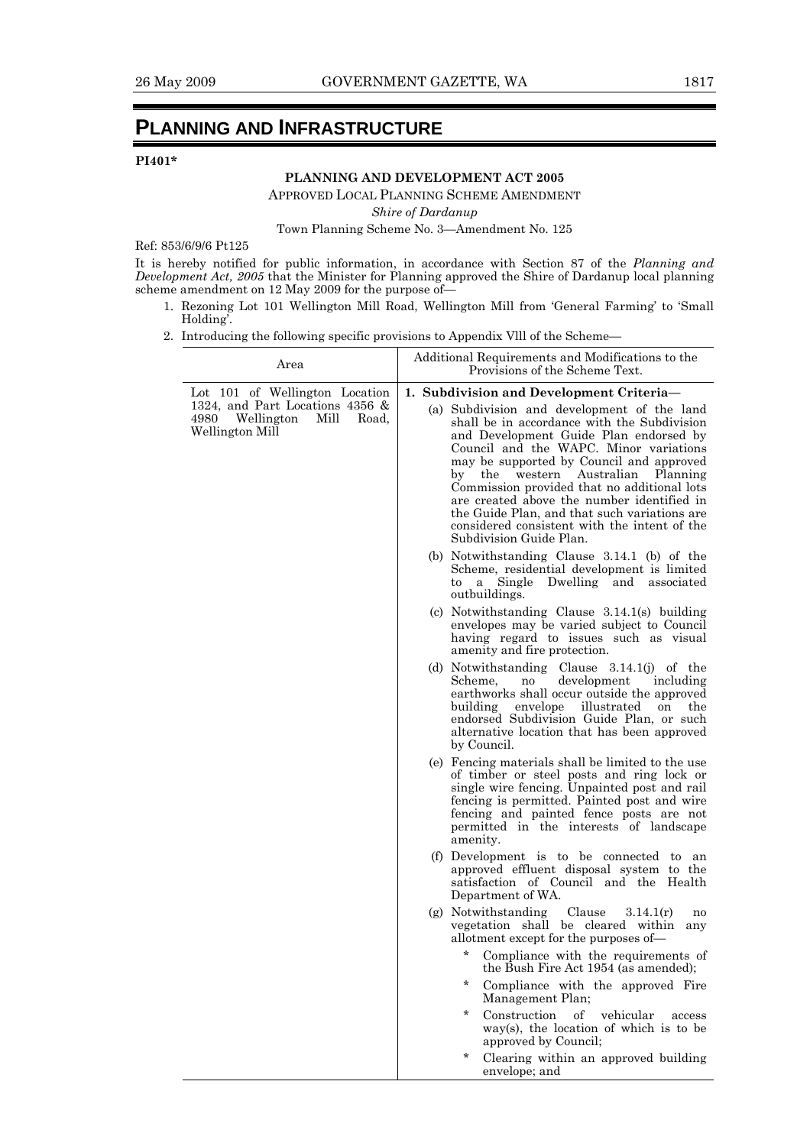# **PLANNING AND INFRASTRUCTURE**

# **PI401\***

# **PLANNING AND DEVELOPMENT ACT 2005**

APPROVED LOCAL PLANNING SCHEME AMENDMENT

*Shire of Dardanup* 

Town Planning Scheme No. 3—Amendment No. 125

Ref: 853/6/9/6 Pt125

It is hereby notified for public information, in accordance with Section 87 of the *Planning and Development Act, 2005* that the Minister for Planning approved the Shire of Dardanup local planning scheme amendment on 12 May 2009 for the purpose of—

- 1. Rezoning Lot 101 Wellington Mill Road, Wellington Mill from 'General Farming' to 'Small Holding'.
- 2. Introducing the following specific provisions to Appendix Vlll of the Scheme—

| Area                                                                                                                           | Additional Requirements and Modifications to the<br>Provisions of the Scheme Text.                                                                                                                                                                                                                                                                                                                                                                                                                                                   |
|--------------------------------------------------------------------------------------------------------------------------------|--------------------------------------------------------------------------------------------------------------------------------------------------------------------------------------------------------------------------------------------------------------------------------------------------------------------------------------------------------------------------------------------------------------------------------------------------------------------------------------------------------------------------------------|
| Lot 101 of Wellington Location<br>1324, and Part Locations 4356 $\&$<br>4980<br>Wellington<br>Mill<br>Road,<br>Wellington Mill | 1. Subdivision and Development Criteria-<br>(a) Subdivision and development of the land<br>shall be in accordance with the Subdivision<br>and Development Guide Plan endorsed by<br>Council and the WAPC. Minor variations<br>may be supported by Council and approved<br>by the western Australian Planning<br>Commission provided that no additional lots<br>are created above the number identified in<br>the Guide Plan, and that such variations are<br>considered consistent with the intent of the<br>Subdivision Guide Plan. |
|                                                                                                                                | (b) Notwithstanding Clause $3.14.1$ (b) of the<br>Scheme, residential development is limited<br>Single Dwelling and<br>to<br>associated<br>a<br>outbuildings.                                                                                                                                                                                                                                                                                                                                                                        |
|                                                                                                                                | (c) Notwithstanding Clause $3.14.1(s)$ building<br>envelopes may be varied subject to Council<br>having regard to issues such as visual<br>amenity and fire protection.                                                                                                                                                                                                                                                                                                                                                              |
|                                                                                                                                | (d) Notwithstanding Clause $3.14.1(j)$ of the<br>development<br>Scheme.<br>including<br>no<br>earthworks shall occur outside the approved<br>building<br>envelope<br>illustrated<br>the<br>on<br>endorsed Subdivision Guide Plan, or such<br>alternative location that has been approved<br>by Council.                                                                                                                                                                                                                              |
|                                                                                                                                | (e) Fencing materials shall be limited to the use<br>of timber or steel posts and ring lock or<br>single wire fencing. Unpainted post and rail<br>fencing is permitted. Painted post and wire<br>fencing and painted fence posts are not<br>permitted in the interests of landscape<br>amenity.                                                                                                                                                                                                                                      |
|                                                                                                                                | (f) Development is to be connected to an<br>approved effluent disposal system to the<br>satisfaction of Council and the Health<br>Department of WA.                                                                                                                                                                                                                                                                                                                                                                                  |
|                                                                                                                                | Clause<br>(g) Notwithstanding<br>3.14.1(r)<br>no<br>vegetation shall be cleared within<br>any<br>allotment except for the purposes of—                                                                                                                                                                                                                                                                                                                                                                                               |
|                                                                                                                                | Compliance with the requirements of<br>the Bush Fire Act 1954 (as amended);<br>$\ast$<br>Compliance with the approved Fire                                                                                                                                                                                                                                                                                                                                                                                                           |
|                                                                                                                                | Management Plan;<br>$\star$<br>Construction<br>of<br>vehicular<br>access<br>$way(s)$ , the location of which is to be<br>approved by Council;                                                                                                                                                                                                                                                                                                                                                                                        |
|                                                                                                                                | $\ast$<br>Clearing within an approved building<br>envelope; and                                                                                                                                                                                                                                                                                                                                                                                                                                                                      |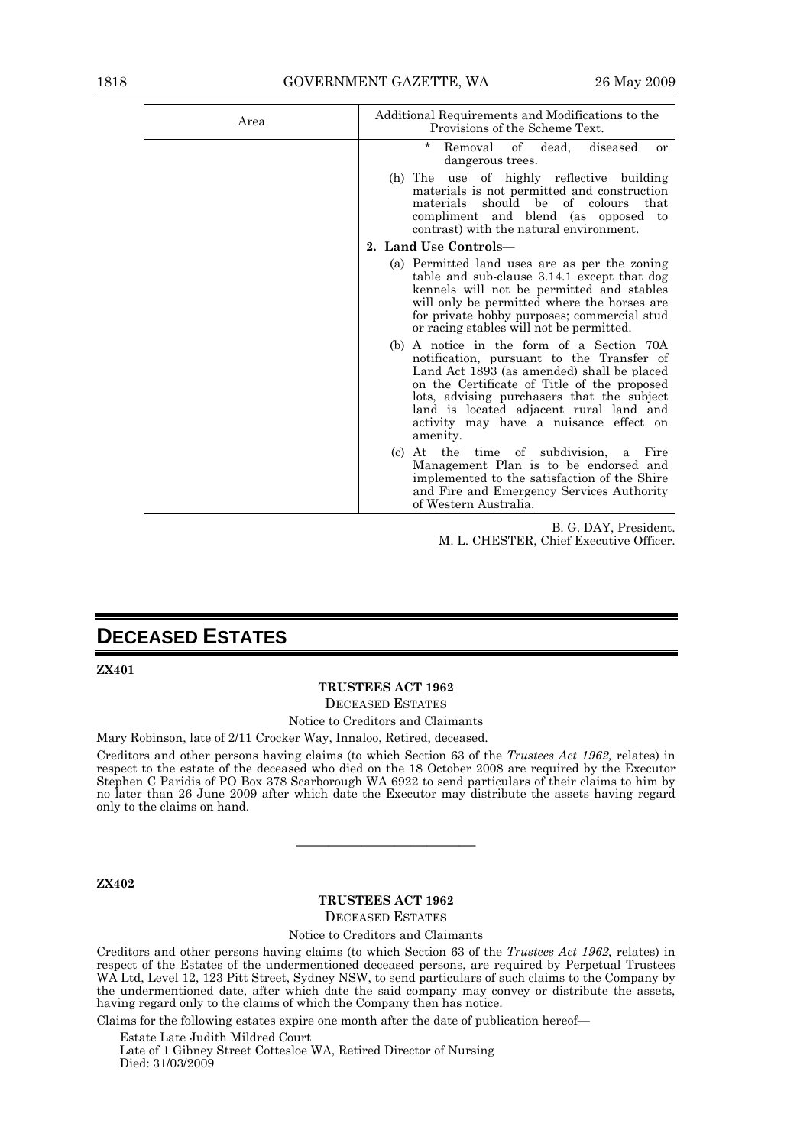| Area | Additional Requirements and Modifications to the<br>Provisions of the Scheme Text.                                                                                                                                                                                                                                                 |  |  |
|------|------------------------------------------------------------------------------------------------------------------------------------------------------------------------------------------------------------------------------------------------------------------------------------------------------------------------------------|--|--|
|      | $^\star$<br>Removal of dead,<br>diseased<br>or<br>dangerous trees.                                                                                                                                                                                                                                                                 |  |  |
|      | (h) The use of highly reflective building<br>materials is not permitted and construction<br>of colours<br>should be<br>materials<br>that<br>compliment and blend (as opposed to<br>contrast) with the natural environment.                                                                                                         |  |  |
|      | 2. Land Use Controls-                                                                                                                                                                                                                                                                                                              |  |  |
|      | (a) Permitted land uses are as per the zoning<br>table and sub-clause 3.14.1 except that dog<br>kennels will not be permitted and stables<br>will only be permitted where the horses are<br>for private hobby purposes; commercial stud<br>or racing stables will not be permitted.                                                |  |  |
|      | (b) A notice in the form of a Section 70A<br>notification, pursuant to the Transfer of<br>Land Act 1893 (as amended) shall be placed<br>on the Certificate of Title of the proposed<br>lots, advising purchasers that the subject<br>land is located adjacent rural land and<br>activity may have a nuisance effect on<br>amenity. |  |  |
|      | the time of subdivision,<br>At<br>Fire<br>(c)<br>a<br>Management Plan is to be endorsed and<br>implemented to the satisfaction of the Shire<br>and Fire and Emergency Services Authority<br>of Western Australia.                                                                                                                  |  |  |

B. G. DAY, President. M. L. CHESTER, Chief Executive Officer.

# **DECEASED ESTATES**

**ZX401** 

# **TRUSTEES ACT 1962**

DECEASED ESTATES

# Notice to Creditors and Claimants

Mary Robinson, late of 2/11 Crocker Way, Innaloo, Retired, deceased.

Creditors and other persons having claims (to which Section 63 of the *Trustees Act 1962,* relates) in respect to the estate of the deceased who died on the 18 October 2008 are required by the Executor Stephen C Paridis of PO Box 378 Scarborough WA 6922 to send particulars of their claims to him by no later than 26 June 2009 after which date the Executor may distribute the assets having regard only to the claims on hand.

**ZX402** 

# **TRUSTEES ACT 1962**

———————————

DECEASED ESTATES

### Notice to Creditors and Claimants

Creditors and other persons having claims (to which Section 63 of the *Trustees Act 1962,* relates) in respect of the Estates of the undermentioned deceased persons, are required by Perpetual Trustees WA Ltd, Level 12, 123 Pitt Street, Sydney NSW, to send particulars of such claims to the Company by the undermentioned date, after which date the said company may convey or distribute the assets, having regard only to the claims of which the Company then has notice.

Claims for the following estates expire one month after the date of publication hereof—

Estate Late Judith Mildred Court Late of 1 Gibney Street Cottesloe WA, Retired Director of Nursing Died: 31/03/2009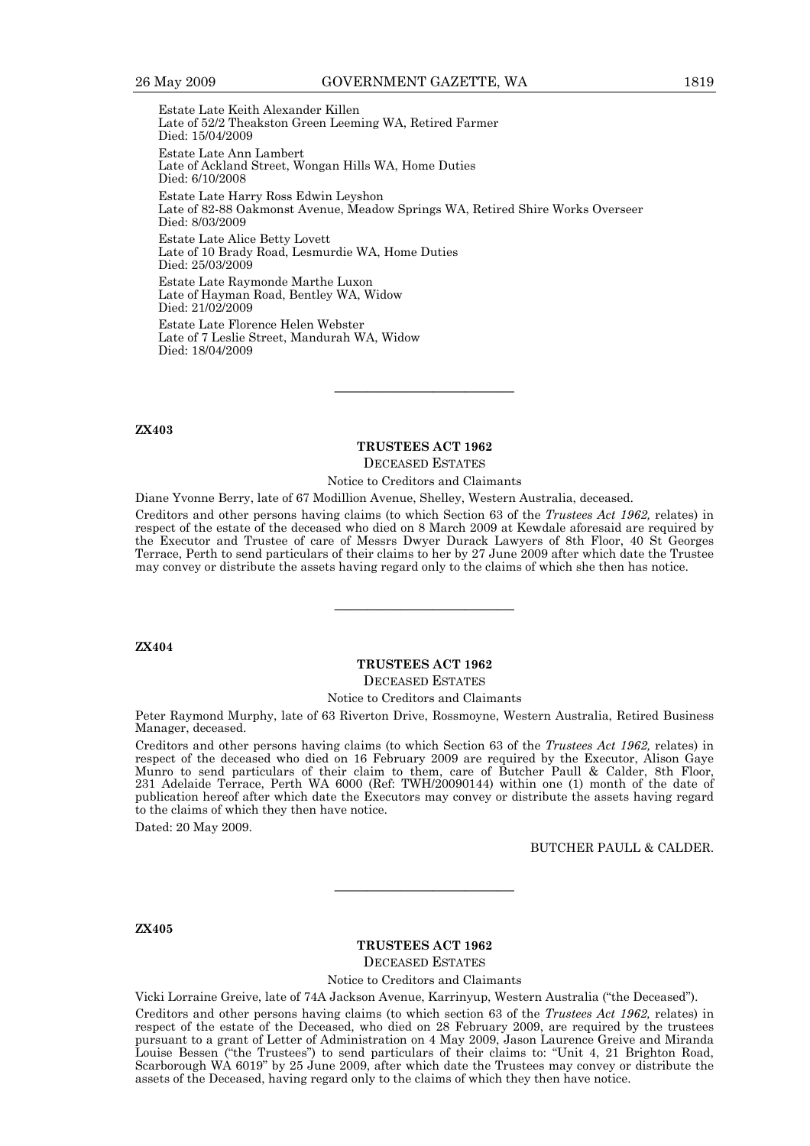Estate Late Keith Alexander Killen Late of 52/2 Theakston Green Leeming WA, Retired Farmer Died: 15/04/2009 Estate Late Ann Lambert Late of Ackland Street, Wongan Hills WA, Home Duties Died: 6/10/2008 Estate Late Harry Ross Edwin Leyshon Late of 82-88 Oakmonst Avenue, Meadow Springs WA, Retired Shire Works Overseer Died: 8/03/2009 Estate Late Alice Betty Lovett Late of 10 Brady Road, Lesmurdie WA, Home Duties Died: 25/03/2009 Estate Late Raymonde Marthe Luxon Late of Hayman Road, Bentley WA, Widow Died: 21/02/2009 Estate Late Florence Helen Webster Late of 7 Leslie Street, Mandurah WA, Widow Died: 18/04/2009

### **ZX403**

### **TRUSTEES ACT 1962**

———————————

DECEASED ESTATES

Notice to Creditors and Claimants

Diane Yvonne Berry, late of 67 Modillion Avenue, Shelley, Western Australia, deceased.

Creditors and other persons having claims (to which Section 63 of the *Trustees Act 1962,* relates) in respect of the estate of the deceased who died on 8 March 2009 at Kewdale aforesaid are required by the Executor and Trustee of care of Messrs Dwyer Durack Lawyers of 8th Floor, 40 St Georges Terrace, Perth to send particulars of their claims to her by 27 June 2009 after which date the Trustee may convey or distribute the assets having regard only to the claims of which she then has notice.

### **ZX404**

# **TRUSTEES ACT 1962**

———————————

DECEASED ESTATES

Notice to Creditors and Claimants

Peter Raymond Murphy, late of 63 Riverton Drive, Rossmoyne, Western Australia, Retired Business Manager, deceased.

Creditors and other persons having claims (to which Section 63 of the *Trustees Act 1962,* relates) in respect of the deceased who died on 16 February 2009 are required by the Executor, Alison Gaye Munro to send particulars of their claim to them, care of Butcher Paull & Calder, 8th Floor, 231 Adelaide Terrace, Perth WA 6000 (Ref: TWH/20090144) within one (1) month of the date of publication hereof after which date the Executors may convey or distribute the assets having regard to the claims of which they then have notice.

Dated: 20 May 2009.

BUTCHER PAULL & CALDER.

### **ZX405**

# **TRUSTEES ACT 1962**

———————————

DECEASED ESTATES

Notice to Creditors and Claimants

Vicki Lorraine Greive, late of 74A Jackson Avenue, Karrinyup, Western Australia ("the Deceased"). Creditors and other persons having claims (to which section 63 of the *Trustees Act 1962,* relates) in respect of the estate of the Deceased, who died on 28 February 2009, are required by the trustees pursuant to a grant of Letter of Administration on 4 May 2009, Jason Laurence Greive and Miranda Louise Bessen ("the Trustees") to send particulars of their claims to: "Unit 4, 21 Brighton Road, Scarborough WA 6019" by 25 June 2009, after which date the Trustees may convey or distribute the assets of the Deceased, having regard only to the claims of which they then have notice.